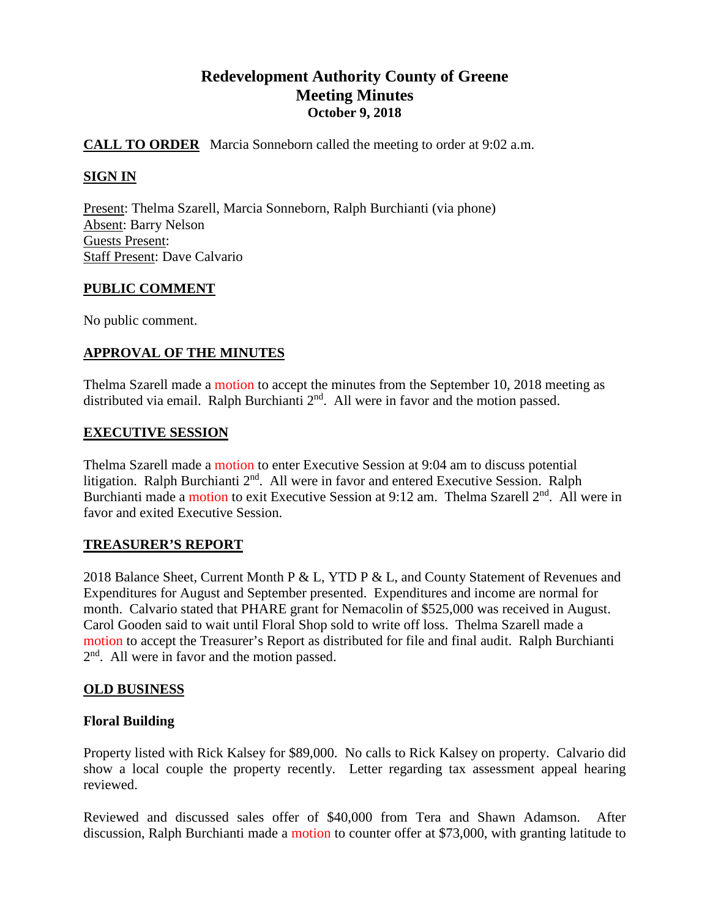# **Redevelopment Authority County of Greene Meeting Minutes October 9, 2018**

# **CALL TO ORDER** Marcia Sonneborn called the meeting to order at 9:02 a.m.

# **SIGN IN**

Present: Thelma Szarell, Marcia Sonneborn, Ralph Burchianti (via phone) Absent: Barry Nelson Guests Present: Staff Present: Dave Calvario

## **PUBLIC COMMENT**

No public comment.

## **APPROVAL OF THE MINUTES**

Thelma Szarell made a motion to accept the minutes from the September 10, 2018 meeting as distributed via email. Ralph Burchianti  $2<sup>nd</sup>$ . All were in favor and the motion passed.

#### **EXECUTIVE SESSION**

Thelma Szarell made a motion to enter Executive Session at 9:04 am to discuss potential litigation. Ralph Burchianti 2<sup>nd</sup>. All were in favor and entered Executive Session. Ralph Burchianti made a motion to exit Executive Session at 9:12 am. Thelma Szarell 2<sup>nd</sup>. All were in favor and exited Executive Session.

## **TREASURER'S REPORT**

2018 Balance Sheet, Current Month P & L, YTD P & L, and County Statement of Revenues and Expenditures for August and September presented. Expenditures and income are normal for month. Calvario stated that PHARE grant for Nemacolin of \$525,000 was received in August. Carol Gooden said to wait until Floral Shop sold to write off loss. Thelma Szarell made a motion to accept the Treasurer's Report as distributed for file and final audit. Ralph Burchianti 2<sup>nd</sup>. All were in favor and the motion passed.

## **OLD BUSINESS**

## **Floral Building**

Property listed with Rick Kalsey for \$89,000. No calls to Rick Kalsey on property. Calvario did show a local couple the property recently. Letter regarding tax assessment appeal hearing reviewed.

Reviewed and discussed sales offer of \$40,000 from Tera and Shawn Adamson. After discussion, Ralph Burchianti made a motion to counter offer at \$73,000, with granting latitude to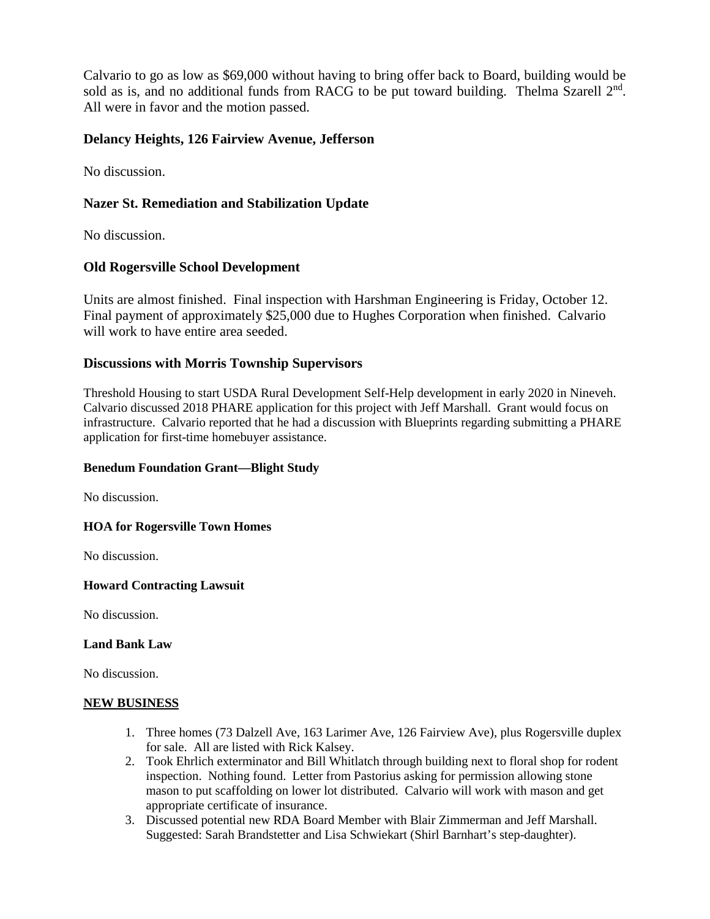Calvario to go as low as \$69,000 without having to bring offer back to Board, building would be sold as is, and no additional funds from RACG to be put toward building. Thelma Szarell  $2<sup>nd</sup>$ . All were in favor and the motion passed.

# **Delancy Heights, 126 Fairview Avenue, Jefferson**

No discussion.

# **Nazer St. Remediation and Stabilization Update**

No discussion.

## **Old Rogersville School Development**

Units are almost finished. Final inspection with Harshman Engineering is Friday, October 12. Final payment of approximately \$25,000 due to Hughes Corporation when finished. Calvario will work to have entire area seeded.

## **Discussions with Morris Township Supervisors**

Threshold Housing to start USDA Rural Development Self-Help development in early 2020 in Nineveh. Calvario discussed 2018 PHARE application for this project with Jeff Marshall. Grant would focus on infrastructure. Calvario reported that he had a discussion with Blueprints regarding submitting a PHARE application for first-time homebuyer assistance.

#### **Benedum Foundation Grant—Blight Study**

No discussion.

## **HOA for Rogersville Town Homes**

No discussion.

#### **Howard Contracting Lawsuit**

No discussion.

#### **Land Bank Law**

No discussion.

#### **NEW BUSINESS**

- 1. Three homes (73 Dalzell Ave, 163 Larimer Ave, 126 Fairview Ave), plus Rogersville duplex for sale. All are listed with Rick Kalsey.
- 2. Took Ehrlich exterminator and Bill Whitlatch through building next to floral shop for rodent inspection. Nothing found. Letter from Pastorius asking for permission allowing stone mason to put scaffolding on lower lot distributed. Calvario will work with mason and get appropriate certificate of insurance.
- 3. Discussed potential new RDA Board Member with Blair Zimmerman and Jeff Marshall. Suggested: Sarah Brandstetter and Lisa Schwiekart (Shirl Barnhart's step-daughter).